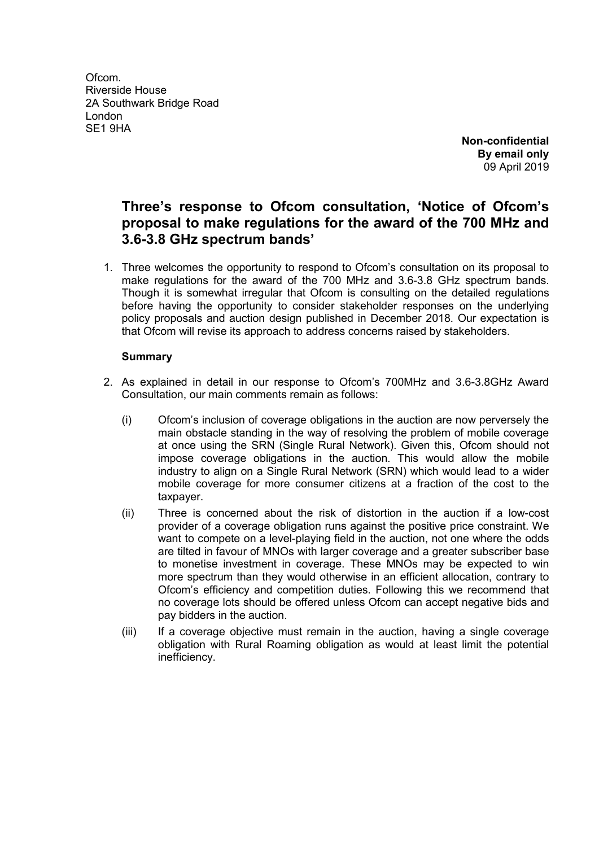Ofcom. Riverside House 2A Southwark Bridge Road London SE1 9HA

**Non-confidential By email only** 09 April 2019

## **Three's response to Ofcom consultation, 'Notice of Ofcom's proposal to make regulations for the award of the 700 MHz and 3.6-3.8 GHz spectrum bands'**

1. Three welcomes the opportunity to respond to Ofcom's consultation on its proposal to make regulations for the award of the 700 MHz and 3.6-3.8 GHz spectrum bands. Though it is somewhat irregular that Ofcom is consulting on the detailed regulations before having the opportunity to consider stakeholder responses on the underlying policy proposals and auction design published in December 2018. Our expectation is that Ofcom will revise its approach to address concerns raised by stakeholders.

## **Summary**

- 2. As explained in detail in our response to Ofcom's 700MHz and 3.6-3.8GHz Award Consultation, our main comments remain as follows:
	- (i) Ofcom's inclusion of coverage obligations in the auction are now perversely the main obstacle standing in the way of resolving the problem of mobile coverage at once using the SRN (Single Rural Network). Given this, Ofcom should not impose coverage obligations in the auction. This would allow the mobile industry to align on a Single Rural Network (SRN) which would lead to a wider mobile coverage for more consumer citizens at a fraction of the cost to the taxpayer.
	- (ii) Three is concerned about the risk of distortion in the auction if a low-cost provider of a coverage obligation runs against the positive price constraint. We want to compete on a level-playing field in the auction, not one where the odds are tilted in favour of MNOs with larger coverage and a greater subscriber base to monetise investment in coverage. These MNOs may be expected to win more spectrum than they would otherwise in an efficient allocation, contrary to Ofcom's efficiency and competition duties. Following this we recommend that no coverage lots should be offered unless Ofcom can accept negative bids and pay bidders in the auction.
	- (iii) If a coverage objective must remain in the auction, having a single coverage obligation with Rural Roaming obligation as would at least limit the potential inefficiency.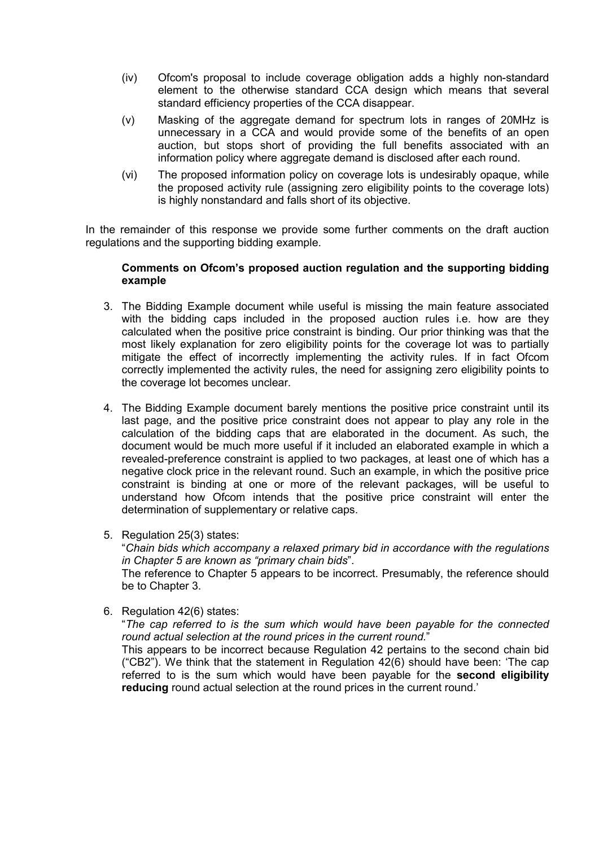- (iv) Ofcom's proposal to include coverage obligation adds a highly non-standard element to the otherwise standard CCA design which means that several standard efficiency properties of the CCA disappear.
- (v) Masking of the aggregate demand for spectrum lots in ranges of 20MHz is unnecessary in a CCA and would provide some of the benefits of an open auction, but stops short of providing the full benefits associated with an information policy where aggregate demand is disclosed after each round.
- (vi) The proposed information policy on coverage lots is undesirably opaque, while the proposed activity rule (assigning zero eligibility points to the coverage lots) is highly nonstandard and falls short of its objective.

In the remainder of this response we provide some further comments on the draft auction regulations and the supporting bidding example.

## **Comments on Ofcom's proposed auction regulation and the supporting bidding example**

- 3. The Bidding Example document while useful is missing the main feature associated with the bidding caps included in the proposed auction rules i.e. how are they calculated when the positive price constraint is binding. Our prior thinking was that the most likely explanation for zero eligibility points for the coverage lot was to partially mitigate the effect of incorrectly implementing the activity rules. If in fact Ofcom correctly implemented the activity rules, the need for assigning zero eligibility points to the coverage lot becomes unclear.
- 4. The Bidding Example document barely mentions the positive price constraint until its last page, and the positive price constraint does not appear to play any role in the calculation of the bidding caps that are elaborated in the document. As such, the document would be much more useful if it included an elaborated example in which a revealed-preference constraint is applied to two packages, at least one of which has a negative clock price in the relevant round. Such an example, in which the positive price constraint is binding at one or more of the relevant packages, will be useful to understand how Ofcom intends that the positive price constraint will enter the determination of supplementary or relative caps.
- 5. Regulation 25(3) states:

"*Chain bids which accompany a relaxed primary bid in accordance with the regulations in Chapter 5 are known as "primary chain bids*".

The reference to Chapter 5 appears to be incorrect. Presumably, the reference should be to Chapter 3.

6. Regulation 42(6) states:

"*The cap referred to is the sum which would have been payable for the connected round actual selection at the round prices in the current round.*"

This appears to be incorrect because Regulation 42 pertains to the second chain bid ("CB2"). We think that the statement in Regulation 42(6) should have been: 'The cap referred to is the sum which would have been payable for the **second eligibility reducing** round actual selection at the round prices in the current round.'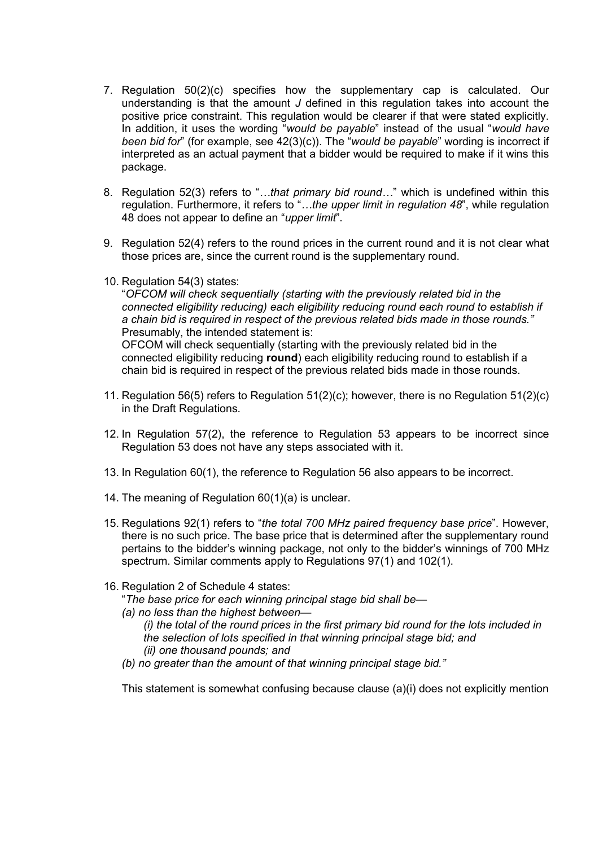- 7. Regulation 50(2)(c) specifies how the supplementary cap is calculated. Our understanding is that the amount *J* defined in this regulation takes into account the positive price constraint. This regulation would be clearer if that were stated explicitly. In addition, it uses the wording "*would be payable*" instead of the usual "*would have been bid for*" (for example, see 42(3)(c)). The "*would be payable*" wording is incorrect if interpreted as an actual payment that a bidder would be required to make if it wins this package.
- 8. Regulation 52(3) refers to "*…that primary bid round…*" which is undefined within this regulation. Furthermore, it refers to "*…the upper limit in regulation 48*", while regulation 48 does not appear to define an "*upper limit*".
- 9. Regulation 52(4) refers to the round prices in the current round and it is not clear what those prices are, since the current round is the supplementary round.
- 10. Regulation 54(3) states:

"*OFCOM will check sequentially (starting with the previously related bid in the connected eligibility reducing) each eligibility reducing round each round to establish if a chain bid is required in respect of the previous related bids made in those rounds."* Presumably, the intended statement is: OFCOM will check sequentially (starting with the previously related bid in the connected eligibility reducing **round**) each eligibility reducing round to establish if a chain bid is required in respect of the previous related bids made in those rounds.

- 11. Regulation 56(5) refers to Regulation 51(2)(c); however, there is no Regulation 51(2)(c) in the Draft Regulations.
- 12. In Regulation 57(2), the reference to Regulation 53 appears to be incorrect since Regulation 53 does not have any steps associated with it.
- 13. In Regulation 60(1), the reference to Regulation 56 also appears to be incorrect.
- 14. The meaning of Regulation 60(1)(a) is unclear.
- 15. Regulations 92(1) refers to "*the total 700 MHz paired frequency base price*". However, there is no such price. The base price that is determined after the supplementary round pertains to the bidder's winning package, not only to the bidder's winnings of 700 MHz spectrum. Similar comments apply to Regulations 97(1) and 102(1).
- 16. Regulation 2 of Schedule 4 states:
	- "*The base price for each winning principal stage bid shall be—*
	- *(a) no less than the highest between—*
		- *(i) the total of the round prices in the first primary bid round for the lots included in the selection of lots specified in that winning principal stage bid; and (ii) one thousand pounds; and*
	- *(b) no greater than the amount of that winning principal stage bid."*

This statement is somewhat confusing because clause (a)(i) does not explicitly mention